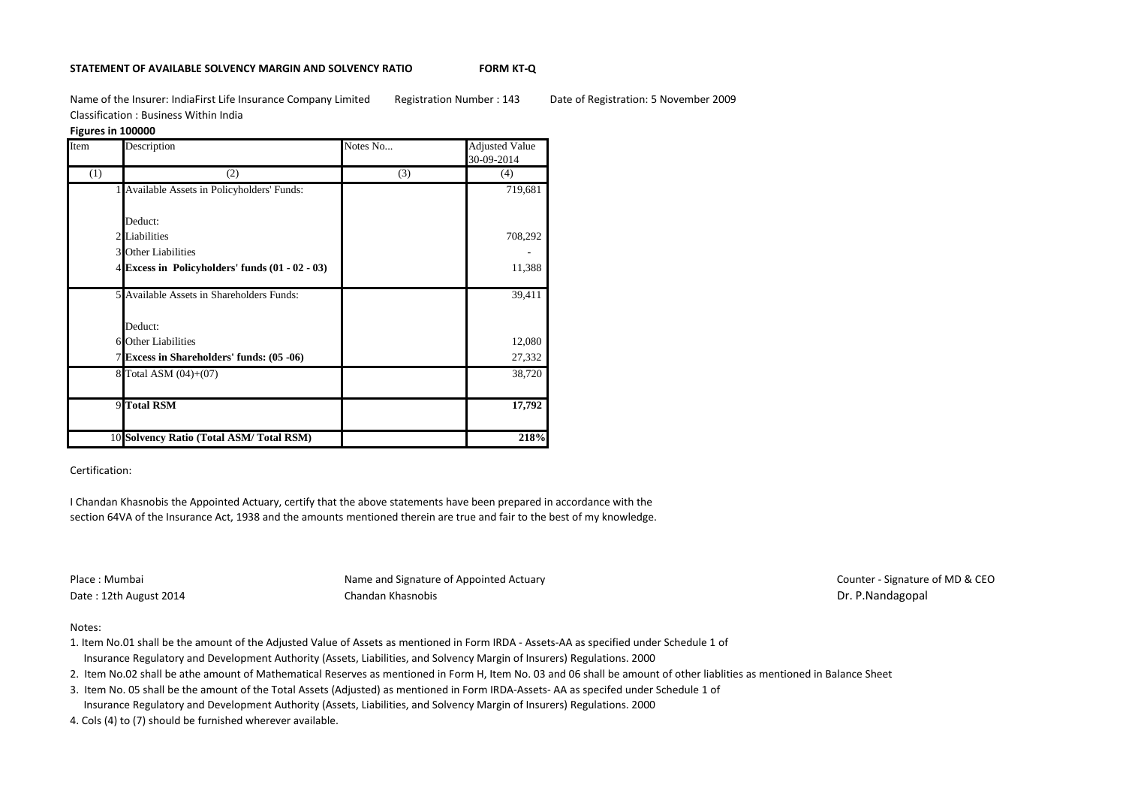### **STATEMENT OF AVAILABLE SOLVENCY MARGIN AND SOLVENCY RATIO FORM KT-Q**

Name of the Insurer: IndiaFirst Life Insurance Company Limited Registration Number : 143 Date of Registration: 5 November 2009 Classification : Business Within India

## **Figures in 100000**

| Item | Description                                       | Notes No | <b>Adjusted Value</b><br>30-09-2014 |
|------|---------------------------------------------------|----------|-------------------------------------|
| (1)  | (2)                                               | (3)      | (4)                                 |
|      | 1 Available Assets in Policyholders' Funds:       |          | 719,681                             |
|      |                                                   |          |                                     |
|      | Deduct:                                           |          |                                     |
|      | 2 Liabilities                                     |          | 708,292                             |
|      | <b>3</b> Other Liabilities                        |          |                                     |
|      | 4 Excess in Policyholders' funds $(01 - 02 - 03)$ |          | 11,388                              |
|      | 5 Available Assets in Shareholders Funds:         |          | 39,411                              |
|      | Deduct:                                           |          |                                     |
|      | <b>6</b> Other Liabilities                        |          | 12,080                              |
|      | 7 Excess in Shareholders' funds: (05 -06)         |          | 27,332                              |
|      | 8 Total ASM (04)+(07)                             |          | 38,720                              |
|      | 9 Total RSM                                       |          | 17,792                              |
|      | 10 Solvency Ratio (Total ASM/ Total RSM)          |          | 218%                                |

# Certification:

I Chandan Khasnobis the Appointed Actuary, certify that the above statements have been prepared in accordance with the section 64VA of the Insurance Act, 1938 and the amounts mentioned therein are true and fair to the best of my knowledge.

Place : Mumbai **Name and Signature of Appointed Actuary Name and Signature of Appointed Actuary Place : Mumbai Counter - Signature of MD & CEO** Date : 12th August 2014 **Chandan Khasnobis** Chandan Khasnobis Dr. P.Nandagopal

### Notes:

- 1. Item No.01 shall be the amount of the Adjusted Value of Assets as mentioned in Form IRDA Assets-AA as specified under Schedule 1 of Insurance Regulatory and Development Authority (Assets, Liabilities, and Solvency Margin of Insurers) Regulations. 2000
- 2. Item No.02 shall be athe amount of Mathematical Reserves as mentioned in Form H, Item No. 03 and 06 shall be amount of other liablities as mentioned in Balance Sheet
- 3. Item No. 05 shall be the amount of the Total Assets (Adjusted) as mentioned in Form IRDA-Assets- AA as specifed under Schedule 1 of Insurance Regulatory and Development Authority (Assets, Liabilities, and Solvency Margin of Insurers) Regulations. 2000
- 4. Cols (4) to (7) should be furnished wherever available.